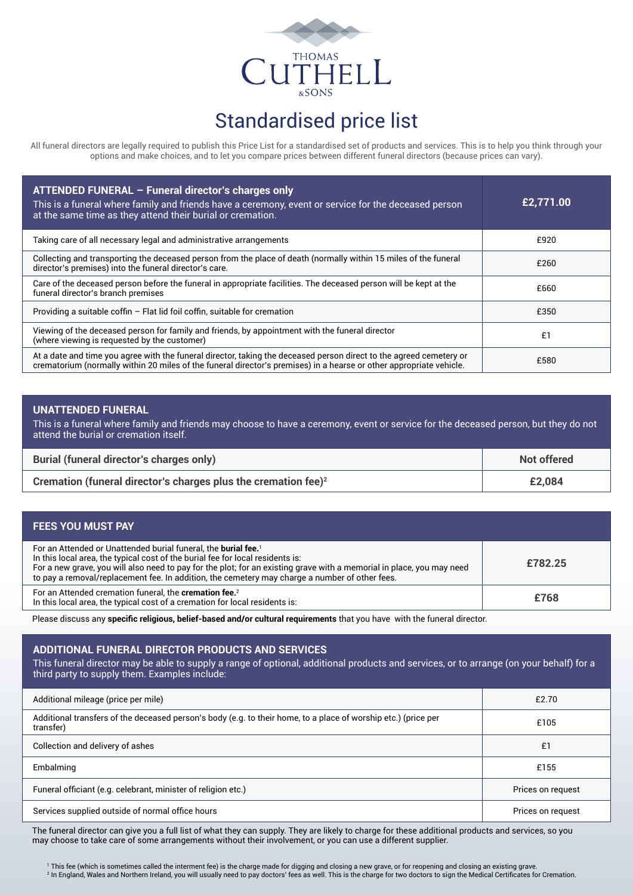

# Standardised price list

All funeral directors are legally required to publish this Price List for a standardised set of products and services. This is to help you think through your options and make choices, and to let you compare prices between different funeral directors (because prices can vary).

| ATTENDED FUNERAL - Funeral director's charges only<br>This is a funeral where family and friends have a ceremony, event or service for the deceased person<br>at the same time as they attend their burial or cremation.                   | £2,771.00 |
|--------------------------------------------------------------------------------------------------------------------------------------------------------------------------------------------------------------------------------------------|-----------|
| Taking care of all necessary legal and administrative arrangements                                                                                                                                                                         | £920      |
| Collecting and transporting the deceased person from the place of death (normally within 15 miles of the funeral<br>director's premises) into the funeral director's care.                                                                 | £260      |
| Care of the deceased person before the funeral in appropriate facilities. The deceased person will be kept at the<br>funeral director's branch premises                                                                                    | £660      |
| Providing a suitable coffin $-$ Flat lid foil coffin, suitable for cremation                                                                                                                                                               | £350      |
| Viewing of the deceased person for family and friends, by appointment with the funeral director<br>(where viewing is requested by the customer)                                                                                            | £1        |
| At a date and time you agree with the funeral director, taking the deceased person direct to the agreed cemetery or<br>crematorium (normally within 20 miles of the funeral director's premises) in a hearse or other appropriate vehicle. | £580      |

### **UNATTENDED FUNERAL**

This is a funeral where family and friends may choose to have a ceremony, event or service for the deceased person, but they do not attend the burial or cremation itself.

| <b>Burial (funeral director's charges only)</b>                   | Not offered |
|-------------------------------------------------------------------|-------------|
| Cremation (funeral director's charges plus the cremation fee) $2$ | £2.084      |

#### **FEES YOU MUST PAY**

| For an Attended or Unattended burial funeral, the <b>burial fee.</b> <sup>1</sup><br>In this local area, the typical cost of the burial fee for local residents is:<br>For a new grave, you will also need to pay for the plot; for an existing grave with a memorial in place, you may need<br>to pay a removal/replacement fee. In addition, the cemetery may charge a number of other fees. | £782.25 |
|------------------------------------------------------------------------------------------------------------------------------------------------------------------------------------------------------------------------------------------------------------------------------------------------------------------------------------------------------------------------------------------------|---------|
| For an Attended cremation funeral, the <b>cremation fee.</b> <sup>2</sup><br>In this local area, the typical cost of a cremation for local residents is:                                                                                                                                                                                                                                       | £768    |

Please discuss any **specific religious, belief-based and/or cultural requirements** that you have with the funeral director.

### **ADDITIONAL FUNERAL DIRECTOR PRODUCTS AND SERVICES**

This funeral director may be able to supply a range of optional, additional products and services, or to arrange (on your behalf) for a third party to supply them. Examples include:

| Additional mileage (price per mile)                                                                                         | £2.70             |
|-----------------------------------------------------------------------------------------------------------------------------|-------------------|
| Additional transfers of the deceased person's body (e.g. to their home, to a place of worship etc.) (price per<br>transfer) | £105              |
| Collection and delivery of ashes                                                                                            | £1                |
| Embalming                                                                                                                   | £155              |
| Funeral officiant (e.g. celebrant, minister of religion etc.)                                                               | Prices on request |
| Services supplied outside of normal office hours                                                                            | Prices on request |

The funeral director can give you a full list of what they can supply. They are likely to charge for these additional products and services, so you may choose to take care of some arrangements without their involvement, or you can use a different supplier.

1 This fee (which is sometimes called the interment fee) is the charge made for digging and closing a new grave, or for reopening and closing an existing grave. 2 In England, Wales and Northern Ireland, you will usually need to pay doctors' fees as well. This is the charge for two doctors to sign the Medical Certificates for Cremation.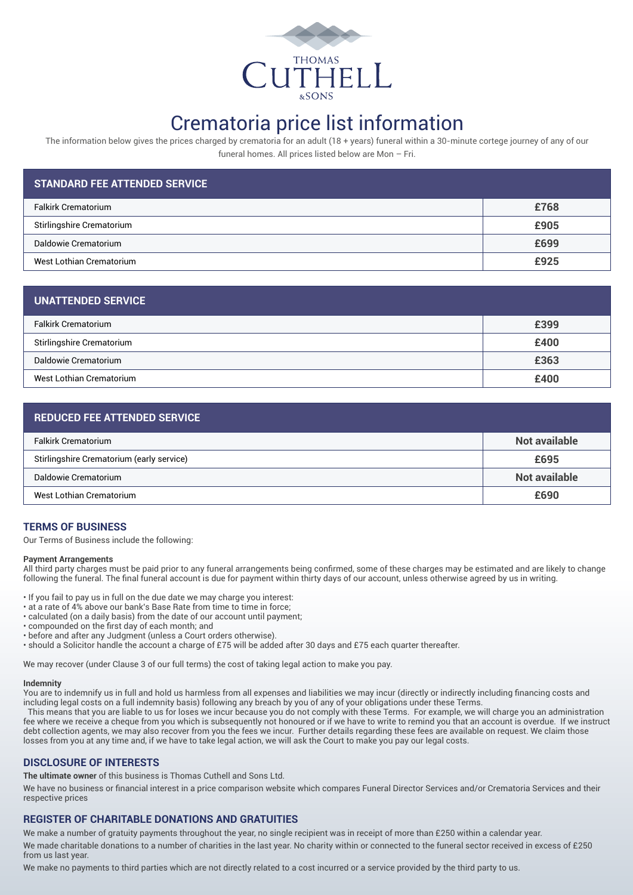

## Crematoria price list information

The information below gives the prices charged by crematoria for an adult (18 + years) funeral within a 30-minute cortege journey of any of our funeral homes. All prices listed below are Mon – Fri.

| <b>STANDARD FEE ATTENDED SERVICE</b> |      |
|--------------------------------------|------|
| <b>Falkirk Crematorium</b>           | £768 |
| Stirlingshire Crematorium            | £905 |
| Daldowie Crematorium                 | £699 |
| West Lothian Crematorium             | £925 |

| <b>UNATTENDED SERVICE</b>  |      |
|----------------------------|------|
| <b>Falkirk Crematorium</b> | £399 |
| Stirlingshire Crematorium  | £400 |
| Daldowie Crematorium       | £363 |
| West Lothian Crematorium   | £400 |

### **REDUCED FEE ATTENDED SERVICE**

| <b>Falkirk Crematorium</b>                | Not available |
|-------------------------------------------|---------------|
| Stirlingshire Crematorium (early service) | £695          |
| Daldowie Crematorium                      | Not available |
| West Lothian Crematorium                  | £690          |

### **TERMS OF BUSINESS**

Our Terms of Business include the following:

#### **Payment Arrangements**

All third party charges must be paid prior to any funeral arrangements being confirmed, some of these charges may be estimated and are likely to change following the funeral. The final funeral account is due for payment within thirty days of our account, unless otherwise agreed by us in writing.

- If you fail to pay us in full on the due date we may charge you interest:
- at a rate of 4% above our bank's Base Rate from time to time in force;
- calculated (on a daily basis) from the date of our account until payment;
- compounded on the first day of each month; and
- before and after any Judgment (unless a Court orders otherwise).
- should a Solicitor handle the account a charge of £75 will be added after 30 days and £75 each quarter thereafter.

We may recover (under Clause 3 of our full terms) the cost of taking legal action to make you pay.

#### **Indemnity**

You are to indemnify us in full and hold us harmless from all expenses and liabilities we may incur (directly or indirectly including financing costs and including legal costs on a full indemnity basis) following any breach by you of any of your obligations under these Terms.

This means that you are liable to us for loses we incur because you do not comply with these Terms. For example, we will charge you an administration fee where we receive a cheque from you which is subsequently not honoured or if we have to write to remind you that an account is overdue. If we instruct debt collection agents, we may also recover from you the fees we incur. Further details regarding these fees are available on request. We claim those losses from you at any time and, if we have to take legal action, we will ask the Court to make you pay our legal costs.

#### **DISCLOSURE OF INTERESTS**

**The ultimate owner** of this business is Thomas Cuthell and Sons Ltd.

We have no business or financial interest in a price comparison website which compares Funeral Director Services and/or Crematoria Services and their respective prices

### **REGISTER OF CHARITABLE DONATIONS AND GRATUITIES**

We make a number of gratuity payments throughout the year, no single recipient was in receipt of more than £250 within a calendar year.

We made charitable donations to a number of charities in the last year. No charity within or connected to the funeral sector received in excess of £250 from us last year.

We make no payments to third parties which are not directly related to a cost incurred or a service provided by the third party to us.